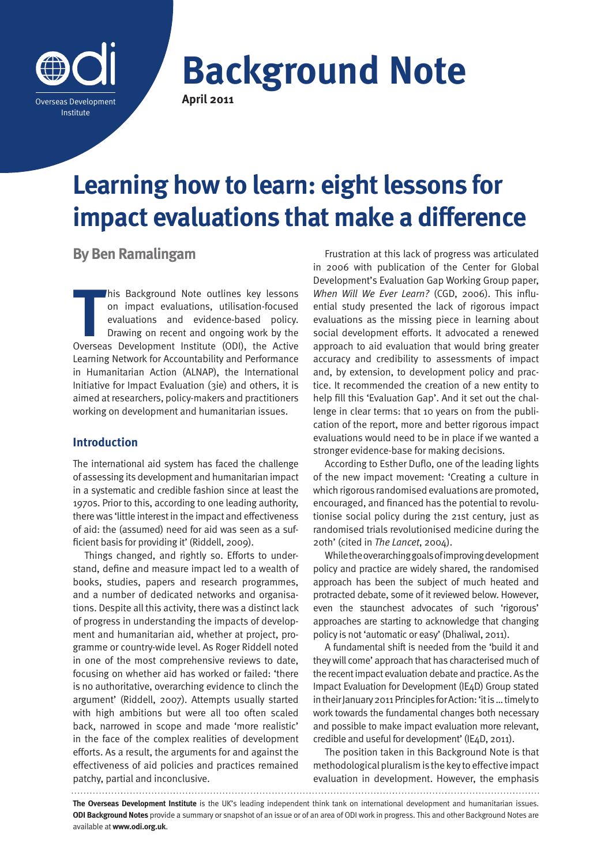

**Background Note April 2011**

# **Learning how to learn: eight lessons for impact evaluations that make a difference**

**By Ben Ramalingam**

**THE SECUTE IS A CONCRETE AND A THE SET ON SOLUTION IS A CONTROLLER SUBSERVIER SET OF DRIVID DRAWing on recent and ongoing work by the Overseas Development Institute (ODI), the Active** his Background Note outlines key lessons on impact evaluations, utilisation-focused evaluations and evidence-based policy. Drawing on recent and ongoing work by the Learning Network for Accountability and Performance in Humanitarian Action (ALNAP), the International Initiative for Impact Evaluation (3ie) and others, it is aimed at researchers, policy-makers and practitioners working on development and humanitarian issues.

# **Introduction**

The international aid system has faced the challenge of assessing its development and humanitarian impact in a systematic and credible fashion since at least the 1970s. Prior to this, according to one leading authority, there was 'little interest in the impact and effectiveness of aid: the (assumed) need for aid was seen as a sufficient basis for providing it' (Riddell, 2009).

Things changed, and rightly so. Efforts to understand, define and measure impact led to a wealth of books, studies, papers and research programmes, and a number of dedicated networks and organisations. Despite all this activity, there was a distinct lack of progress in understanding the impacts of development and humanitarian aid, whether at project, programme or country-wide level. As Roger Riddell noted in one of the most comprehensive reviews to date, focusing on whether aid has worked or failed: 'there is no authoritative, overarching evidence to clinch the argument' (Riddell, 2007). Attempts usually started with high ambitions but were all too often scaled back, narrowed in scope and made 'more realistic' in the face of the complex realities of development efforts. As a result, the arguments for and against the effectiveness of aid policies and practices remained patchy, partial and inconclusive.

Frustration at this lack of progress was articulated in 2006 with publication of the Center for Global Development's Evaluation Gap Working Group paper, *When Will We Ever Learn?* (CGD, 2006). This influential study presented the lack of rigorous impact evaluations as the missing piece in learning about social development efforts. It advocated a renewed approach to aid evaluation that would bring greater accuracy and credibility to assessments of impact and, by extension, to development policy and practice. It recommended the creation of a new entity to help fill this 'Evaluation Gap'. And it set out the challenge in clear terms: that 10 years on from the publication of the report, more and better rigorous impact evaluations would need to be in place if we wanted a stronger evidence-base for making decisions.

According to Esther Duflo, one of the leading lights of the new impact movement: 'Creating a culture in which rigorous randomised evaluations are promoted, encouraged, and financed has the potential to revolutionise social policy during the 21st century, just as randomised trials revolutionised medicine during the 20th' (cited in *The Lancet*, 2004).

While the overarching goals of improving development policy and practice are widely shared, the randomised approach has been the subject of much heated and protracted debate, some of it reviewed below. However, even the staunchest advocates of such 'rigorous' approaches are starting to acknowledge that changing policy is not 'automatic or easy' (Dhaliwal, 2011).

A fundamental shift is needed from the 'build it and they will come' approach that has characterised much of the recent impact evaluation debate and practice. As the Impact Evaluation for Development (IE4D) Group stated in their January 2011 Principles for Action: 'it is … timely to work towards the fundamental changes both necessary and possible to make impact evaluation more relevant, credible and useful for development' (IE4D, 2011).

The position taken in this Background Note is that methodological pluralism is the key to effective impact evaluation in development. However, the emphasis

**The Overseas Development Institute** is the UK's leading independent think tank on international development and humanitarian issues. **ODI Background Notes** provide a summary or snapshot of an issue or of an area of ODI work in progress. This and other Background Notes are available at **www.odi.org.uk**.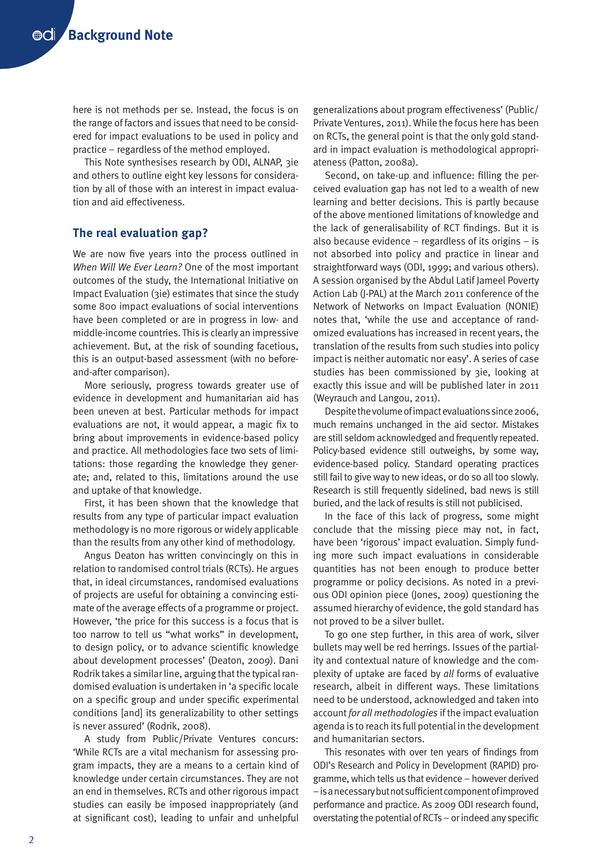here is not methods per se. Instead, the focus is on the range of factors and issues that need to be considered for impact evaluations to be used in policy and practice – regardless of the method employed.

This Note synthesises research by ODI, ALNAP, 3ie and others to outline eight key lessons for consideration by all of those with an interest in impact evaluation and aid effectiveness.

# **The real evaluation gap?**

We are now five years into the process outlined in *When Will We Ever Learn?* One of the most important outcomes of the study, the International Initiative on Impact Evaluation (3ie) estimates that since the study some 800 impact evaluations of social interventions have been completed or are in progress in low- and middle-income countries. This is clearly an impressive achievement. But, at the risk of sounding facetious, this is an output-based assessment (with no beforeand-after comparison).

More seriously, progress towards greater use of evidence in development and humanitarian aid has been uneven at best. Particular methods for impact evaluations are not, it would appear, a magic fix to bring about improvements in evidence-based policy and practice. All methodologies face two sets of limitations: those regarding the knowledge they generate; and, related to this, limitations around the use and uptake of that knowledge.

First, it has been shown that the knowledge that results from any type of particular impact evaluation methodology is no more rigorous or widely applicable than the results from any other kind of methodology.

Angus Deaton has written convincingly on this in relation to randomised control trials (RCTs). He argues that, in ideal circumstances, randomised evaluations of projects are useful for obtaining a convincing estimate of the average effects of a programme or project. However, 'the price for this success is a focus that is too narrow to tell us "what works" in development, to design policy, or to advance scientific knowledge about development processes' (Deaton, 2009). Dani Rodrik takes a similar line, arguing that the typical randomised evaluation is undertaken in 'a specific locale on a specific group and under specific experimental conditions [and] its generalizability to other settings is never assured' (Rodrik, 2008).

A study from Public/Private Ventures concurs: 'While RCTs are a vital mechanism for assessing program impacts, they are a means to a certain kind of knowledge under certain circumstances. They are not an end in themselves. RCTs and other rigorous impact studies can easily be imposed inappropriately (and at significant cost), leading to unfair and unhelpful

generalizations about program effectiveness' (Public/ Private Ventures, 2011). While the focus here has been on RCTs, the general point is that the only gold standard in impact evaluation is methodological appropriateness (Patton, 2008a).

Second, on take-up and influence: filling the perceived evaluation gap has not led to a wealth of new learning and better decisions. This is partly because of the above mentioned limitations of knowledge and the lack of generalisability of RCT findings. But it is also because evidence – regardless of its origins – is not absorbed into policy and practice in linear and straightforward ways (ODI, 1999; and various others). A session organised by the Abdul Latif Jameel Poverty Action Lab (J-PAL) at the March 2011 conference of the Network of Networks on Impact Evaluation (NONIE) notes that, 'while the use and acceptance of randomized evaluations has increased in recent years, the translation of the results from such studies into policy impact is neither automatic nor easy'. A series of case studies has been commissioned by 3ie, looking at exactly this issue and will be published later in 2011 (Weyrauch and Langou, 2011).

Despite the volume of impact evaluations since 2006, much remains unchanged in the aid sector. Mistakes are still seldom acknowledged and frequently repeated. Policy-based evidence still outweighs, by some way, evidence-based policy. Standard operating practices still fail to give way to new ideas, or do so all too slowly. Research is still frequently sidelined, bad news is still buried, and the lack of results is still not publicised.

In the face of this lack of progress, some might conclude that the missing piece may not, in fact, have been 'rigorous' impact evaluation. Simply funding more such impact evaluations in considerable quantities has not been enough to produce better programme or policy decisions. As noted in a previous ODI opinion piece (Jones, 2009) questioning the assumed hierarchy of evidence, the gold standard has not proved to be a silver bullet.

To go one step further, in this area of work, silver bullets may well be red herrings. Issues of the partiality and contextual nature of knowledge and the complexity of uptake are faced by *all* forms of evaluative research, albeit in different ways. These limitations need to be understood, acknowledged and taken into account *for all methodologies* if the impact evaluation agenda is to reach its full potential in the development and humanitarian sectors.

This resonates with over ten years of findings from ODI's Research and Policy in Development (RAPID) programme, which tells us that evidence – however derived – is a necessary but not sufficient component of improved performance and practice. As 2009 ODI research found, overstating the potential of RCTs – or indeed any specific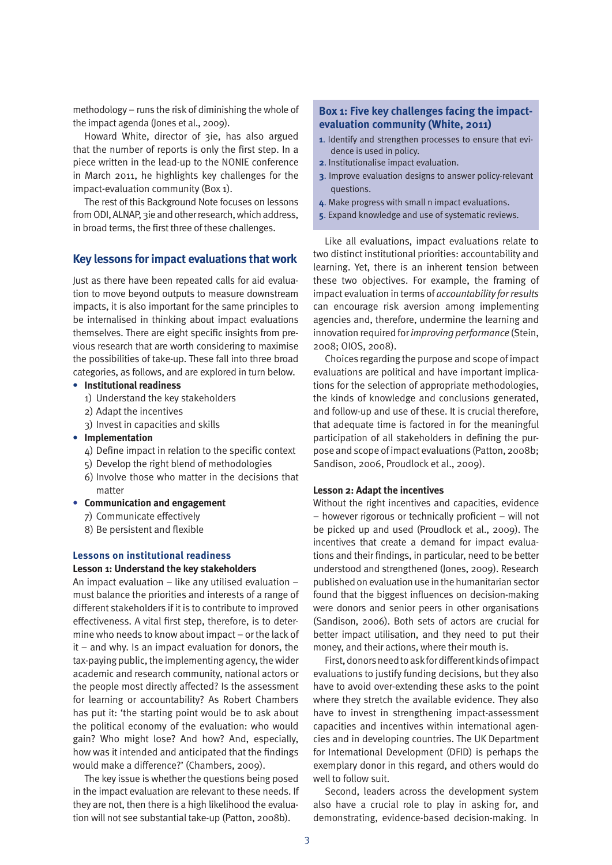methodology – runs the risk of diminishing the whole of the impact agenda (Jones et al., 2009).

Howard White, director of 3ie, has also argued that the number of reports is only the first step. In a piece written in the lead-up to the NONIE conference in March 2011, he highlights key challenges for the impact-evaluation community (Box 1).

The rest of this Background Note focuses on lessons from ODI, ALNAP, 3ie and other research, which address, in broad terms, the first three of these challenges.

## **Key lessons for impact evaluations that work**

Just as there have been repeated calls for aid evaluation to move beyond outputs to measure downstream impacts, it is also important for the same principles to be internalised in thinking about impact evaluations themselves. There are eight specific insights from previous research that are worth considering to maximise the possibilities of take-up. These fall into three broad categories, as follows, and are explored in turn below.

- **• Institutional readiness**
	- 1) Understand the key stakeholders
	- 2) Adapt the incentives
	- 3) Invest in capacities and skills
- **• Implementation**
	- 4) Define impact in relation to the specific context
	- 5) Develop the right blend of methodologies
	- 6) Involve those who matter in the decisions that matter
- **• Communication and engagement** 7) Communicate effectively
	- 8) Be persistent and flexible

## **Lessons on institutional readiness Lesson 1: Understand the key stakeholders**

An impact evaluation – like any utilised evaluation – must balance the priorities and interests of a range of different stakeholders if it is to contribute to improved effectiveness. A vital first step, therefore, is to determine who needs to know about impact – or the lack of it – and why. Is an impact evaluation for donors, the tax-paying public, the implementing agency, the wider academic and research community, national actors or the people most directly affected? Is the assessment for learning or accountability? As Robert Chambers has put it: 'the starting point would be to ask about the political economy of the evaluation: who would gain? Who might lose? And how? And, especially, how was it intended and anticipated that the findings would make a difference?' (Chambers, 2009).

The key issue is whether the questions being posed in the impact evaluation are relevant to these needs. If they are not, then there is a high likelihood the evaluation will not see substantial take-up (Patton, 2008b).

## **Box 1: Five key challenges facing the impactevaluation community (White, 2011)**

- **1**. Identify and strengthen processes to ensure that evidence is used in policy.
- **2**. Institutionalise impact evaluation.
- **3**. Improve evaluation designs to answer policy-relevant questions.
- **4**. Make progress with small n impact evaluations.
- **5**. Expand knowledge and use of systematic reviews.

Like all evaluations, impact evaluations relate to two distinct institutional priorities: accountability and learning. Yet, there is an inherent tension between these two objectives. For example, the framing of impact evaluation in terms of *accountability for results* can encourage risk aversion among implementing agencies and, therefore, undermine the learning and innovation required for *improving performance* (Stein, 2008; OIOS, 2008).

Choices regarding the purpose and scope of impact evaluations are political and have important implications for the selection of appropriate methodologies, the kinds of knowledge and conclusions generated, and follow-up and use of these. It is crucial therefore, that adequate time is factored in for the meaningful participation of all stakeholders in defining the purpose and scope of impact evaluations (Patton, 2008b; Sandison, 2006, Proudlock et al., 2009).

### **Lesson 2: Adapt the incentives**

Without the right incentives and capacities, evidence – however rigorous or technically proficient – will not be picked up and used (Proudlock et al., 2009). The incentives that create a demand for impact evaluations and their findings, in particular, need to be better understood and strengthened (Jones, 2009). Research published on evaluation use in the humanitarian sector found that the biggest influences on decision-making were donors and senior peers in other organisations (Sandison, 2006). Both sets of actors are crucial for better impact utilisation, and they need to put their money, and their actions, where their mouth is.

First, donors need to ask for different kinds of impact evaluations to justify funding decisions, but they also have to avoid over-extending these asks to the point where they stretch the available evidence. They also have to invest in strengthening impact-assessment capacities and incentives within international agencies and in developing countries. The UK Department for International Development (DFID) is perhaps the exemplary donor in this regard, and others would do well to follow suit.

Second, leaders across the development system also have a crucial role to play in asking for, and demonstrating, evidence-based decision-making. In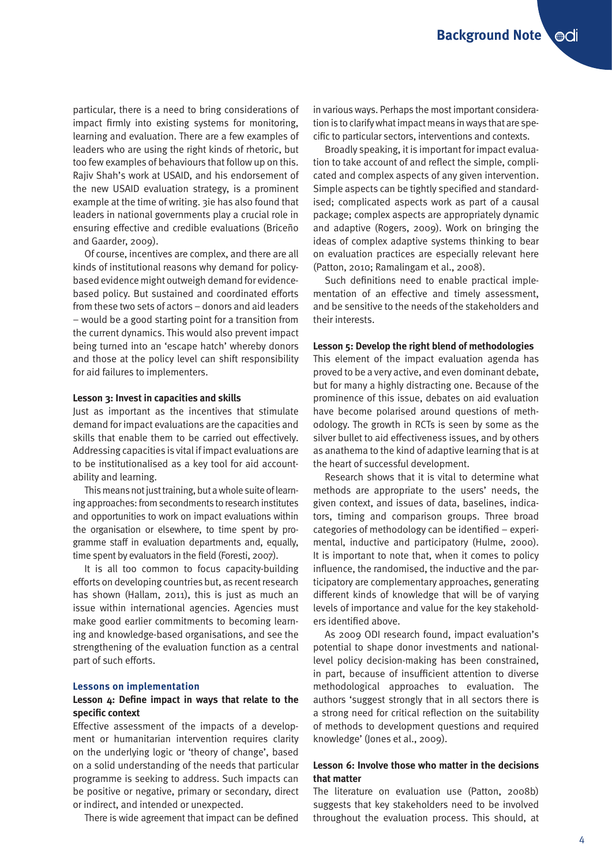particular, there is a need to bring considerations of impact firmly into existing systems for monitoring, learning and evaluation. There are a few examples of leaders who are using the right kinds of rhetoric, but too few examples of behaviours that follow up on this. Rajiv Shah's work at USAID, and his endorsement of the new USAID evaluation strategy, is a prominent example at the time of writing. 3ie has also found that leaders in national governments play a crucial role in ensuring effective and credible evaluations (Briceño and Gaarder, 2009).

Of course, incentives are complex, and there are all kinds of institutional reasons why demand for policybased evidence might outweigh demand for evidencebased policy. But sustained and coordinated efforts from these two sets of actors – donors and aid leaders – would be a good starting point for a transition from the current dynamics. This would also prevent impact being turned into an 'escape hatch' whereby donors and those at the policy level can shift responsibility for aid failures to implementers.

#### **Lesson 3: Invest in capacities and skills**

Just as important as the incentives that stimulate demand for impact evaluations are the capacities and skills that enable them to be carried out effectively. Addressing capacities is vital if impact evaluations are to be institutionalised as a key tool for aid accountability and learning.

This means not just training, but a whole suite of learning approaches: from secondments to research institutes and opportunities to work on impact evaluations within the organisation or elsewhere, to time spent by programme staff in evaluation departments and, equally, time spent by evaluators in the field (Foresti, 2007).

It is all too common to focus capacity-building efforts on developing countries but, as recent research has shown (Hallam, 2011), this is just as much an issue within international agencies. Agencies must make good earlier commitments to becoming learning and knowledge-based organisations, and see the strengthening of the evaluation function as a central part of such efforts.

#### **Lessons on implementation**

#### **Lesson 4: Define impact in ways that relate to the specific context**

Effective assessment of the impacts of a development or humanitarian intervention requires clarity on the underlying logic or 'theory of change', based on a solid understanding of the needs that particular programme is seeking to address. Such impacts can be positive or negative, primary or secondary, direct or indirect, and intended or unexpected.

There is wide agreement that impact can be defined

in various ways. Perhaps the most important consideration is to clarify what impact means in ways that are specific to particular sectors, interventions and contexts.

Broadly speaking, it is important for impact evaluation to take account of and reflect the simple, complicated and complex aspects of any given intervention. Simple aspects can be tightly specified and standardised; complicated aspects work as part of a causal package; complex aspects are appropriately dynamic and adaptive (Rogers, 2009). Work on bringing the ideas of complex adaptive systems thinking to bear on evaluation practices are especially relevant here (Patton, 2010; Ramalingam et al., 2008).

Such definitions need to enable practical implementation of an effective and timely assessment, and be sensitive to the needs of the stakeholders and their interests.

## **Lesson 5: Develop the right blend of methodologies**

This element of the impact evaluation agenda has proved to be a very active, and even dominant debate, but for many a highly distracting one. Because of the prominence of this issue, debates on aid evaluation have become polarised around questions of methodology. The growth in RCTs is seen by some as the silver bullet to aid effectiveness issues, and by others as anathema to the kind of adaptive learning that is at the heart of successful development.

Research shows that it is vital to determine what methods are appropriate to the users' needs, the given context, and issues of data, baselines, indicators, timing and comparison groups. Three broad categories of methodology can be identified – experimental, inductive and participatory (Hulme, 2000). It is important to note that, when it comes to policy influence, the randomised, the inductive and the participatory are complementary approaches, generating different kinds of knowledge that will be of varying levels of importance and value for the key stakeholders identified above.

As 2009 ODI research found, impact evaluation's potential to shape donor investments and nationallevel policy decision-making has been constrained, in part, because of insufficient attention to diverse methodological approaches to evaluation. The authors 'suggest strongly that in all sectors there is a strong need for critical reflection on the suitability of methods to development questions and required knowledge' (Jones et al., 2009).

## **Lesson 6: Involve those who matter in the decisions that matter**

The literature on evaluation use (Patton, 2008b) suggests that key stakeholders need to be involved throughout the evaluation process. This should, at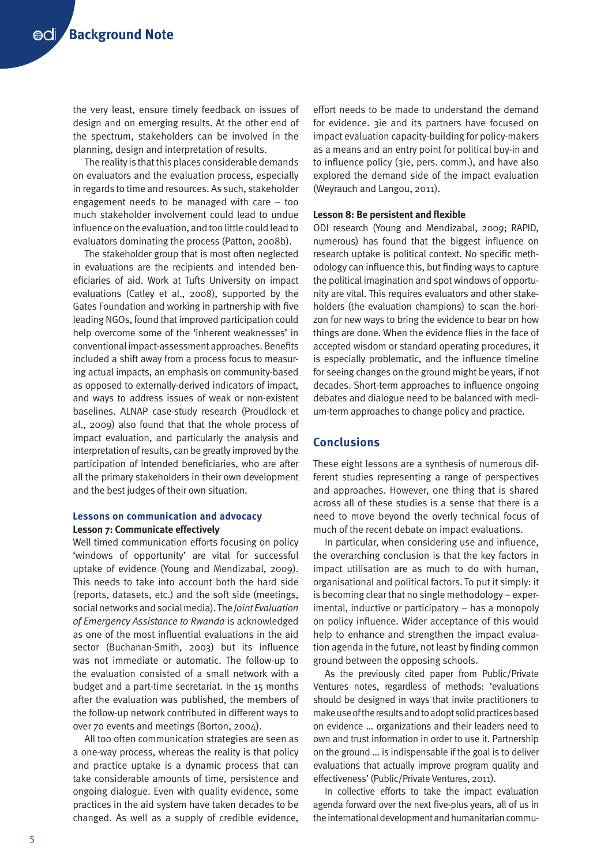the very least, ensure timely feedback on issues of design and on emerging results. At the other end of the spectrum, stakeholders can be involved in the planning, design and interpretation of results.

The reality is that this places considerable demands on evaluators and the evaluation process, especially in regards to time and resources. As such, stakeholder engagement needs to be managed with care – too much stakeholder involvement could lead to undue influence on the evaluation, and too little could lead to evaluators dominating the process (Patton, 2008b).

The stakeholder group that is most often neglected in evaluations are the recipients and intended beneficiaries of aid. Work at Tufts University on impact evaluations (Catley et al., 2008), supported by the Gates Foundation and working in partnership with five leading NGOs, found that improved participation could help overcome some of the 'inherent weaknesses' in conventional impact-assessment approaches. Benefits included a shift away from a process focus to measuring actual impacts, an emphasis on community-based as opposed to externally-derived indicators of impact, and ways to address issues of weak or non-existent baselines. ALNAP case-study research (Proudlock et al., 2009) also found that that the whole process of impact evaluation, and particularly the analysis and interpretation of results, can be greatly improved by the participation of intended beneficiaries, who are after all the primary stakeholders in their own development and the best judges of their own situation.

## **Lessons on communication and advocacy Lesson 7: Communicate effectively**

Well timed communication efforts focusing on policy 'windows of opportunity' are vital for successful uptake of evidence (Young and Mendizabal, 2009). This needs to take into account both the hard side (reports, datasets, etc.) and the soft side (meetings, social networks and social media). The *Joint Evaluation of Emergency Assistance to Rwanda* is acknowledged as one of the most influential evaluations in the aid sector (Buchanan-Smith, 2003) but its influence was not immediate or automatic. The follow-up to the evaluation consisted of a small network with a budget and a part-time secretariat. In the 15 months after the evaluation was published, the members of the follow-up network contributed in different ways to over 70 events and meetings (Borton, 2004).

All too often communication strategies are seen as a one-way process, whereas the reality is that policy and practice uptake is a dynamic process that can take considerable amounts of time, persistence and ongoing dialogue. Even with quality evidence, some practices in the aid system have taken decades to be changed. As well as a supply of credible evidence,

effort needs to be made to understand the demand for evidence. 3ie and its partners have focused on impact evaluation capacity-building for policy-makers as a means and an entry point for political buy-in and to influence policy (3ie, pers. comm.), and have also explored the demand side of the impact evaluation (Weyrauch and Langou, 2011).

#### **Lesson 8: Be persistent and flexible**

ODI research (Young and Mendizabal, 2009; RAPID, numerous) has found that the biggest influence on research uptake is political context. No specific methodology can influence this, but finding ways to capture the political imagination and spot windows of opportunity are vital. This requires evaluators and other stakeholders (the evaluation champions) to scan the horizon for new ways to bring the evidence to bear on how things are done. When the evidence flies in the face of accepted wisdom or standard operating procedures, it is especially problematic, and the influence timeline for seeing changes on the ground might be years, if not decades. Short-term approaches to influence ongoing debates and dialogue need to be balanced with medium-term approaches to change policy and practice.

## **Conclusions**

These eight lessons are a synthesis of numerous different studies representing a range of perspectives and approaches. However, one thing that is shared across all of these studies is a sense that there is a need to move beyond the overly technical focus of much of the recent debate on impact evaluations.

In particular, when considering use and influence, the overarching conclusion is that the key factors in impact utilisation are as much to do with human, organisational and political factors. To put it simply: it is becoming clear that no single methodology – experimental, inductive or participatory – has a monopoly on policy influence. Wider acceptance of this would help to enhance and strengthen the impact evaluation agenda in the future, not least by finding common ground between the opposing schools.

As the previously cited paper from Public/Private Ventures notes, regardless of methods: 'evaluations should be designed in ways that invite practitioners to make use of the results and to adopt solid practices based on evidence … organizations and their leaders need to own and trust information in order to use it. Partnership on the ground … is indispensable if the goal is to deliver evaluations that actually improve program quality and effectiveness' (Public/Private Ventures, 2011).

In collective efforts to take the impact evaluation agenda forward over the next five-plus years, all of us in the international development and humanitarian commu